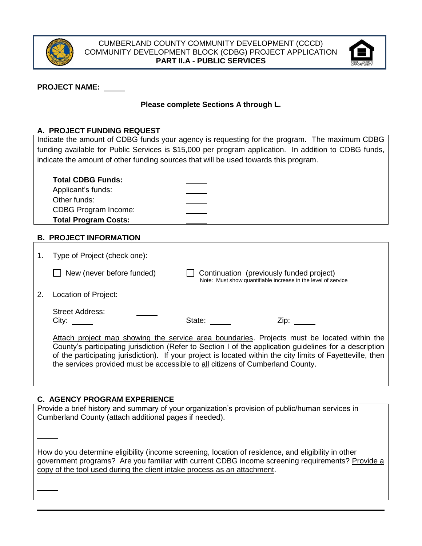



### **PROJECT NAME:**

## **Please complete Sections A through L.**

## **A. PROJECT FUNDING REQUEST**

Indicate the amount of CDBG funds your agency is requesting for the program. The maximum CDBG funding available for Public Services is \$15,000 per program application. In addition to CDBG funds, indicate the amount of other funding sources that will be used towards this program.

| <b>Total CDBG Funds:</b><br>Applicant's funds:<br>Other funds:<br><b>CDBG Program Income:</b> |  |  |
|-----------------------------------------------------------------------------------------------|--|--|
| <b>Total Program Costs:</b>                                                                   |  |  |
|                                                                                               |  |  |

### **B. PROJECT INFORMATION**

| Type of Project (check one):                                                                                                                                                                                                                                                                                                                                                                            |                                          |                                                               |
|---------------------------------------------------------------------------------------------------------------------------------------------------------------------------------------------------------------------------------------------------------------------------------------------------------------------------------------------------------------------------------------------------------|------------------------------------------|---------------------------------------------------------------|
| New (never before funded)                                                                                                                                                                                                                                                                                                                                                                               | Continuation (previously funded project) | Note: Must show quantifiable increase in the level of service |
| Location of Project:                                                                                                                                                                                                                                                                                                                                                                                    |                                          |                                                               |
| Street Address:                                                                                                                                                                                                                                                                                                                                                                                         | State: State:                            |                                                               |
| Attach project map showing the service area boundaries. Projects must be located within the<br>County's participating jurisdiction (Refer to Section I of the application guidelines for a description<br>of the participating jurisdiction). If your project is located within the city limits of Fayetteville, then<br>the services provided must be accessible to all citizens of Cumberland County. |                                          |                                                               |

### **C. AGENCY PROGRAM EXPERIENCE**

Provide a brief history and summary of your organization's provision of public/human services in Cumberland County (attach additional pages if needed).

How do you determine eligibility (income screening, location of residence, and eligibility in other government programs? Are you familiar with current CDBG income screening requirements? Provide a copy of the tool used during the client intake process as an attachment.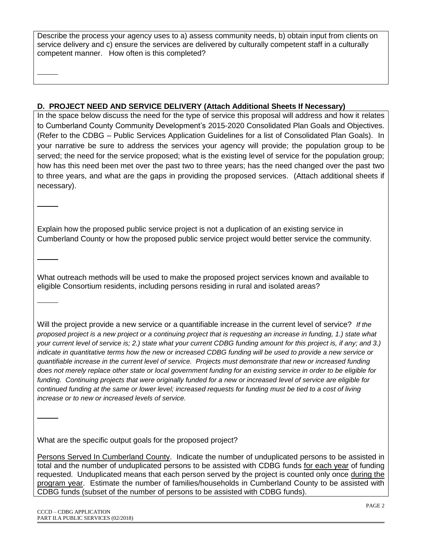Describe the process your agency uses to a) assess community needs, b) obtain input from clients on service delivery and c) ensure the services are delivered by culturally competent staff in a culturally competent manner. How often is this completed?

## **D. PROJECT NEED AND SERVICE DELIVERY (Attach Additional Sheets If Necessary)**

In the space below discuss the need for the type of service this proposal will address and how it relates to Cumberland County Community Development's 2015-2020 Consolidated Plan Goals and Objectives. (Refer to the CDBG – Public Services Application Guidelines for a list of Consolidated Plan Goals). In your narrative be sure to address the services your agency will provide; the population group to be served; the need for the service proposed; what is the existing level of service for the population group; how has this need been met over the past two to three years; has the need changed over the past two to three years, and what are the gaps in providing the proposed services. (Attach additional sheets if necessary).

Explain how the proposed public service project is not a duplication of an existing service in Cumberland County or how the proposed public service project would better service the community.

What outreach methods will be used to make the proposed project services known and available to eligible Consortium residents, including persons residing in rural and isolated areas?

Will the project provide a new service or a quantifiable increase in the current level of service? *If the proposed project is a new project or a continuing project that is requesting an increase in funding, 1.) state what your current level of service is; 2.) state what your current CDBG funding amount for this project is, if any; and 3.) indicate in quantitative terms how the new or increased CDBG funding will be used to provide a new service or quantifiable increase in the current level of service. Projects must demonstrate that new or increased funding does not merely replace other state or local government funding for an existing service in order to be eligible for funding. Continuing projects that were originally funded for a new or increased level of service are eligible for continued funding at the same or lower level; increased requests for funding must be tied to a cost of living increase or to new or increased levels of service.*

What are the specific output goals for the proposed project?

Persons Served In Cumberland County. Indicate the number of unduplicated persons to be assisted in total and the number of unduplicated persons to be assisted with CDBG funds for each year of funding requested. Unduplicated means that each person served by the project is counted only once during the program year. Estimate the number of families/households in Cumberland County to be assisted with CDBG funds (subset of the number of persons to be assisted with CDBG funds).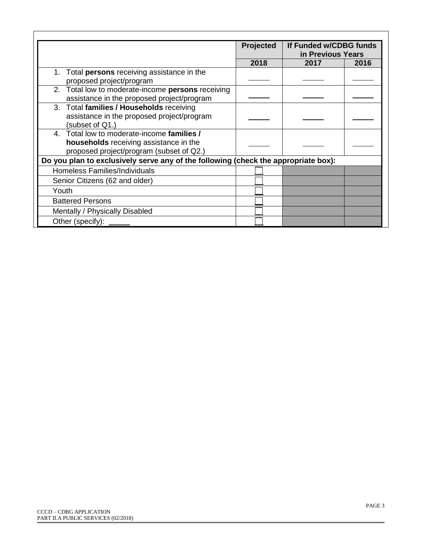|                                                                                                                                                                                                                        | Projected | If Funded w/CDBG funds<br>in Previous Years |      |
|------------------------------------------------------------------------------------------------------------------------------------------------------------------------------------------------------------------------|-----------|---------------------------------------------|------|
|                                                                                                                                                                                                                        | 2018      | 2017                                        | 2016 |
| Total <b>persons</b> receiving assistance in the<br>proposed project/program                                                                                                                                           |           |                                             |      |
| 2. Total low to moderate-income persons receiving<br>assistance in the proposed project/program                                                                                                                        |           |                                             |      |
| 3. Total families / Households receiving<br>assistance in the proposed project/program<br>(subset of Q1.)                                                                                                              |           |                                             |      |
| 4. Total low to moderate-income families /<br>households receiving assistance in the<br>proposed project/program (subset of Q2.)<br>Do you plan to exclusively serve any of the following (check the appropriate box): |           |                                             |      |
| Homeless Families/Individuals                                                                                                                                                                                          |           |                                             |      |
| Senior Citizens (62 and older)                                                                                                                                                                                         |           |                                             |      |
| Youth                                                                                                                                                                                                                  |           |                                             |      |
| <b>Battered Persons</b>                                                                                                                                                                                                |           |                                             |      |
| Mentally / Physically Disabled                                                                                                                                                                                         |           |                                             |      |
| Other (specify):                                                                                                                                                                                                       |           |                                             |      |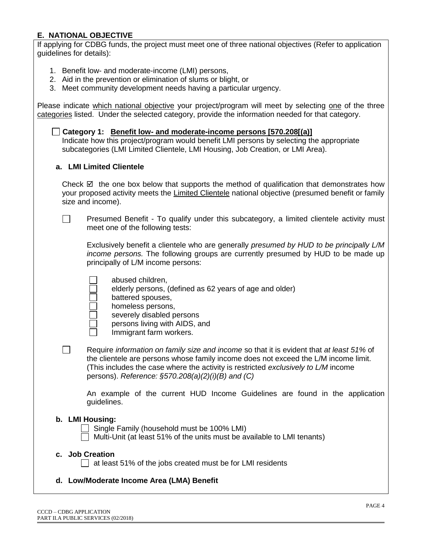## **E. NATIONAL OBJECTIVE**

If applying for CDBG funds, the project must meet one of three national objectives (Refer to application guidelines for details):

- 1. Benefit low- and moderate-income (LMI) persons,
- 2. Aid in the prevention or elimination of slums or blight, or
- 3. Meet community development needs having a particular urgency.

Please indicate which national objective your project/program will meet by selecting one of the three categories listed. Under the selected category, provide the information needed for that category.

|  | Category 1: Benefit low- and moderate-income persons [570.208[(a)]                       |
|--|------------------------------------------------------------------------------------------|
|  | Indicate how this project/program would benefit LMI persons by selecting the appropriate |
|  | subcategories (LMI Limited Clientele, LMI Housing, Job Creation, or LMI Area).           |

#### **a. LMI Limited Clientele**

Check  $\boxtimes$  the one box below that supports the method of qualification that demonstrates how your proposed activity meets the Limited Clientele national objective (presumed benefit or family size and income).

П Presumed Benefit - To qualify under this subcategory, a limited clientele activity must meet one of the following tests:

Exclusively benefit a clientele who are generally *presumed by HUD to be principally L/M income persons.* The following groups are currently presumed by HUD to be made up principally of L/M income persons:

- abused children,
	- elderly persons, (defined as 62 years of age and older)
- battered spouses,
- homeless persons,
	- severely disabled persons
	- persons living with AIDS, and
	- Immigrant farm workers.
- Require *information on family size and income* so that it is evident that *at least 51%* of the clientele are persons whose family income does not exceed the L/M income limit. (This includes the case where the activity is restricted *exclusively to L/M* income persons). *Reference: §570.208(a)(2)(i)(B) and (C)*

An example of the current HUD Income Guidelines are found in the application guidelines.

#### **b. LMI Housing:**

П

- Single Family (household must be 100% LMI)
- Multi-Unit (at least 51% of the units must be available to LMI tenants)

#### **c. Job Creation**

 $\Box$  at least 51% of the jobs created must be for LMI residents

#### **d. Low/Moderate Income Area (LMA) Benefit**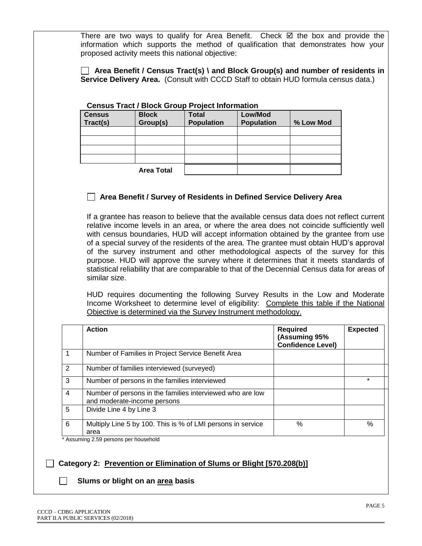There are two ways to qualify for Area Benefit. Check  $\boxtimes$  the box and provide the information which supports the method of qualification that demonstrates how your proposed activity meets this national objective:

 **Area Benefit / Census Tract(s) \ and Block Group(s) and number of residents in Service Delivery Area.** (Consult with CCCD Staff to obtain HUD formula census data.)

| Census Tract / Block Group Project Information |                   |                   |                   |           |
|------------------------------------------------|-------------------|-------------------|-------------------|-----------|
| <b>Census</b>                                  | <b>Block</b>      | <b>Total</b>      | Low/Mod           |           |
| Tract(s)                                       | Group(s)          | <b>Population</b> | <b>Population</b> | % Low Mod |
|                                                |                   |                   |                   |           |
|                                                |                   |                   |                   |           |
|                                                |                   |                   |                   |           |
|                                                |                   |                   |                   |           |
|                                                | <b>Area Total</b> |                   |                   |           |

### **Census Tract / Block Group Project Information**

### **Area Benefit / Survey of Residents in Defined Service Delivery Area**

If a grantee has reason to believe that the available census data does not reflect current relative income levels in an area, or where the area does not coincide sufficiently well with census boundaries, HUD will accept information obtained by the grantee from use of a special survey of the residents of the area. The grantee must obtain HUD's approval of the survey instrument and other methodological aspects of the survey for this purpose. HUD will approve the survey where it determines that it meets standards of statistical reliability that are comparable to that of the Decennial Census data for areas of similar size.

HUD requires documenting the following Survey Results in the Low and Moderate Income Worksheet to determine level of eligibility: Complete this table if the National Objective is determined via the Survey Instrument methodology.

|                | <b>Action</b>                                                                            | <b>Required</b><br>(Assuming 95%<br><b>Confidence Level)</b> | <b>Expected</b> |
|----------------|------------------------------------------------------------------------------------------|--------------------------------------------------------------|-----------------|
|                | Number of Families in Project Service Benefit Area                                       |                                                              |                 |
| 2              | Number of families interviewed (surveyed)                                                |                                                              |                 |
| 3              | Number of persons in the families interviewed                                            |                                                              | $\star$         |
| $\overline{4}$ | Number of persons in the families interviewed who are low<br>and moderate-income persons |                                                              |                 |
| 5              | Divide Line 4 by Line 3                                                                  |                                                              |                 |
| 6              | Multiply Line 5 by 100. This is % of LMI persons in service<br>area                      | %                                                            | $\%$            |

Assuming 2.59 persons per household

#### **Category 2: Prevention or Elimination of Slums or Blight [570.208(b)]**

#### **Slums or blight on an area basis**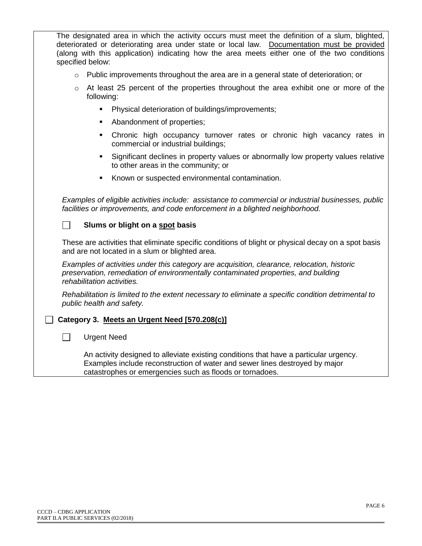The designated area in which the activity occurs must meet the definition of a slum, blighted, deteriorated or deteriorating area under state or local law. Documentation must be provided (along with this application) indicating how the area meets either one of the two conditions specified below:

- $\circ$  Public improvements throughout the area are in a general state of deterioration; or
- $\circ$  At least 25 percent of the properties throughout the area exhibit one or more of the following:
	- Physical deterioration of buildings/improvements;
	- Abandonment of properties:
	- Chronic high occupancy turnover rates or chronic high vacancy rates in commercial or industrial buildings;
	- Significant declines in property values or abnormally low property values relative to other areas in the community; or
	- Known or suspected environmental contamination.

*Examples of eligible activities include: assistance to commercial or industrial businesses, public facilities or improvements, and code enforcement in a blighted neighborhood.* 

### **Slums or blight on a spot basis**

These are activities that eliminate specific conditions of blight or physical decay on a spot basis and are not located in a slum or blighted area.

*Examples of activities under this category are acquisition, clearance, relocation, historic preservation, remediation of environmentally contaminated properties, and building rehabilitation activities.* 

*Rehabilitation is limited to the extent necessary to eliminate a specific condition detrimental to public health and safety.*

#### **Category 3. Meets an Urgent Need [570.208(c)]**

#### **Need** Urgent Need

An activity designed to alleviate existing conditions that have a particular urgency. Examples include reconstruction of water and sewer lines destroyed by major catastrophes or emergencies such as floods or tornadoes.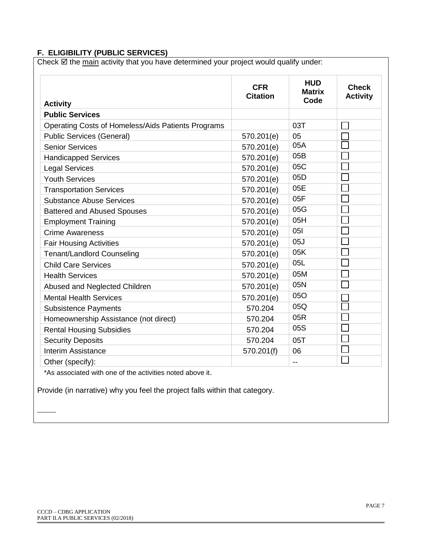## **F. ELIGIBILITY (PUBLIC SERVICES)**

Check  $\boxtimes$  the main activity that you have determined your project would qualify under:

| <b>Activity</b>                                    | <b>CFR</b><br><b>Citation</b> | <b>HUD</b><br><b>Matrix</b><br>Code | <b>Check</b><br><b>Activity</b> |
|----------------------------------------------------|-------------------------------|-------------------------------------|---------------------------------|
| <b>Public Services</b>                             |                               |                                     |                                 |
| Operating Costs of Homeless/Aids Patients Programs |                               | 03T                                 |                                 |
| <b>Public Services (General)</b>                   | 570.201(e)                    | 05                                  |                                 |
| <b>Senior Services</b>                             | 570.201(e)                    | 05A                                 |                                 |
| <b>Handicapped Services</b>                        | 570.201(e)                    | 05B                                 |                                 |
| <b>Legal Services</b>                              | 570.201(e)                    | 05C                                 |                                 |
| <b>Youth Services</b>                              | 570.201(e)                    | 05D                                 |                                 |
| <b>Transportation Services</b>                     | 570.201(e)                    | 05E                                 |                                 |
| <b>Substance Abuse Services</b>                    | 570.201(e)                    | 05F                                 |                                 |
| <b>Battered and Abused Spouses</b>                 | 570.201(e)                    | 05G                                 |                                 |
| <b>Employment Training</b>                         | 570.201(e)                    | 05H                                 |                                 |
| <b>Crime Awareness</b>                             | 570.201(e)                    | 051                                 |                                 |
| <b>Fair Housing Activities</b>                     | 570.201(e)                    | 05J                                 |                                 |
| <b>Tenant/Landlord Counseling</b>                  | 570.201(e)                    | 05K                                 |                                 |
| <b>Child Care Services</b>                         | 570.201(e)                    | 05L                                 |                                 |
| <b>Health Services</b>                             | 570.201(e)                    | 05M                                 |                                 |
| Abused and Neglected Children                      | 570.201(e)                    | 05N                                 |                                 |
| <b>Mental Health Services</b>                      | 570.201(e)                    | 05O                                 |                                 |
| <b>Subsistence Payments</b>                        | 570.204                       | 05Q                                 |                                 |
| Homeownership Assistance (not direct)              | 570.204                       | 05R                                 |                                 |
| <b>Rental Housing Subsidies</b>                    | 570.204                       | 05S                                 |                                 |
| <b>Security Deposits</b>                           | 570.204                       | 05T                                 |                                 |
| <b>Interim Assistance</b>                          | 570.201(f)                    | 06                                  |                                 |
| Other (specify):                                   |                               | $-$                                 |                                 |

\*As associated with one of the activities noted above it.

Provide (in narrative) why you feel the project falls within that category.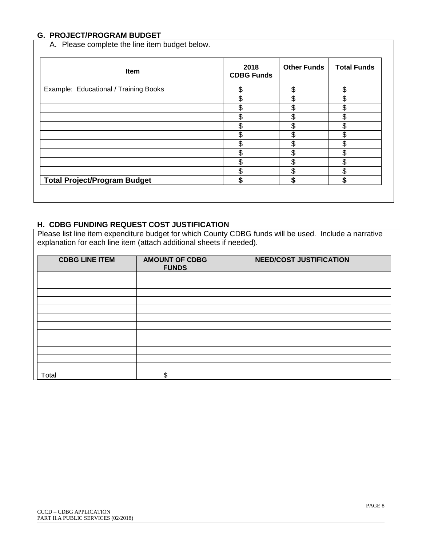## **G. PROJECT/PROGRAM BUDGET**

A. Please complete the line item budget below.

| Item                                  | 2018<br><b>CDBG Funds</b> | <b>Other Funds</b> | <b>Total Funds</b> |
|---------------------------------------|---------------------------|--------------------|--------------------|
| Example: Educational / Training Books | \$                        | \$                 | ሶ                  |
|                                       | \$                        | \$                 |                    |
|                                       | ጥ                         | \$                 | ጦ                  |
|                                       | Φ                         | \$                 |                    |
|                                       | \$                        | \$                 | ሰ<br>.D            |
|                                       | ጥ                         | \$                 | ጦ                  |
|                                       | ሖ                         | \$                 |                    |
|                                       | \$                        | \$                 | J.                 |
|                                       | ሶ                         | \$                 |                    |
|                                       | ጦ<br>Ф                    | \$                 |                    |
| <b>Total Project/Program Budget</b>   | S                         | \$                 | S                  |

### **H. CDBG FUNDING REQUEST COST JUSTIFICATION**

Please list line item expenditure budget for which County CDBG funds will be used. Include a narrative explanation for each line item (attach additional sheets if needed).

| <b>CDBG LINE ITEM</b> | <b>AMOUNT OF CDBG</b><br><b>FUNDS</b> | <b>NEED/COST JUSTIFICATION</b> |
|-----------------------|---------------------------------------|--------------------------------|
|                       |                                       |                                |
|                       |                                       |                                |
|                       |                                       |                                |
|                       |                                       |                                |
|                       |                                       |                                |
|                       |                                       |                                |
|                       |                                       |                                |
|                       |                                       |                                |
|                       |                                       |                                |
|                       |                                       |                                |
|                       |                                       |                                |
|                       |                                       |                                |
| Total                 |                                       |                                |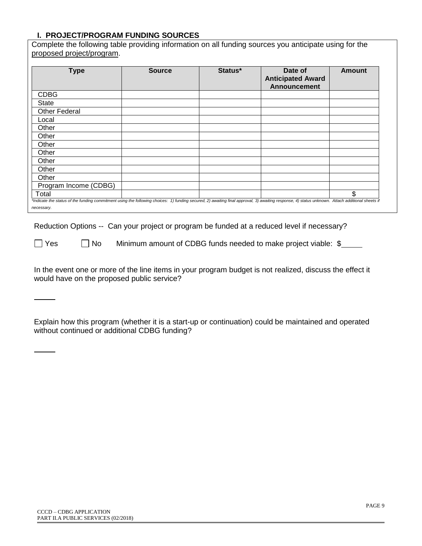#### **I. PROJECT/PROGRAM FUNDING SOURCES** Complete the following table providing information on all funding sources you anticipate using for the

| <b>Type</b>           | <b>Source</b> | Status* | Date of<br><b>Anticipated Award</b><br><b>Announcement</b> | <b>Amount</b> |
|-----------------------|---------------|---------|------------------------------------------------------------|---------------|
| <b>CDBG</b>           |               |         |                                                            |               |
| State                 |               |         |                                                            |               |
| <b>Other Federal</b>  |               |         |                                                            |               |
| Local                 |               |         |                                                            |               |
| Other                 |               |         |                                                            |               |
| Other                 |               |         |                                                            |               |
| Other                 |               |         |                                                            |               |
| Other                 |               |         |                                                            |               |
| Other                 |               |         |                                                            |               |
| Other                 |               |         |                                                            |               |
| Other                 |               |         |                                                            |               |
| Program Income (CDBG) |               |         |                                                            |               |
| Total                 |               |         |                                                            | \$            |

Reduction Options -- Can your project or program be funded at a reduced level if necessary?

 $\Box$  Yes  $\Box$  No Minimum amount of CDBG funds needed to make project viable:  $\$\_\_$ 

In the event one or more of the line items in your program budget is not realized, discuss the effect it would have on the proposed public service?

Explain how this program (whether it is a start-up or continuation) could be maintained and operated without continued or additional CDBG funding?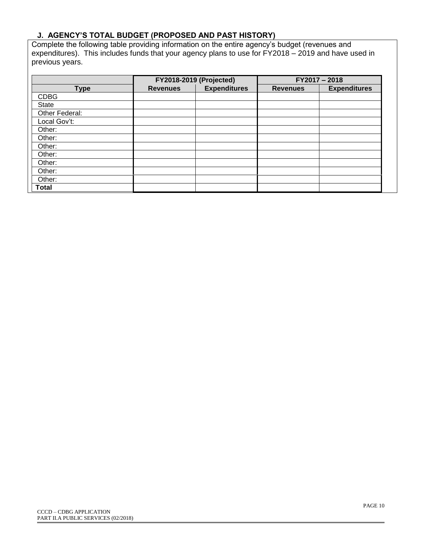# **J. AGENCY'S TOTAL BUDGET (PROPOSED AND PAST HISTORY)**

Complete the following table providing information on the entire agency's budget (revenues and expenditures). This includes funds that your agency plans to use for FY2018 – 2019 and have used in previous years.

|                | <b>FY2018-2019 (Projected)</b> |                     | $FY2017 - 2018$ |                     |
|----------------|--------------------------------|---------------------|-----------------|---------------------|
| <b>Type</b>    | <b>Revenues</b>                | <b>Expenditures</b> | <b>Revenues</b> | <b>Expenditures</b> |
| <b>CDBG</b>    |                                |                     |                 |                     |
| State          |                                |                     |                 |                     |
| Other Federal: |                                |                     |                 |                     |
| Local Gov't:   |                                |                     |                 |                     |
| Other:         |                                |                     |                 |                     |
| Other:         |                                |                     |                 |                     |
| Other:         |                                |                     |                 |                     |
| Other:         |                                |                     |                 |                     |
| Other:         |                                |                     |                 |                     |
| Other:         |                                |                     |                 |                     |
| Other:         |                                |                     |                 |                     |
| Total          |                                |                     |                 |                     |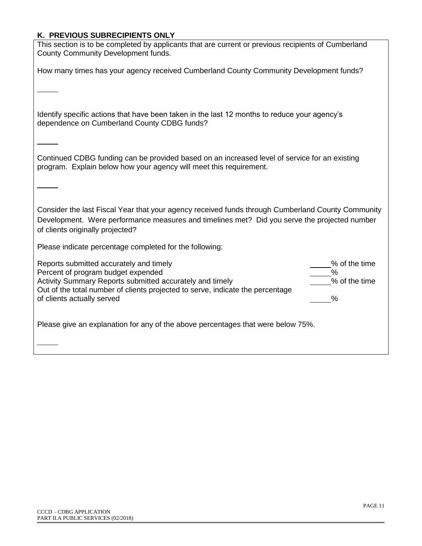## **K. PREVIOUS SUBRECIPIENTS ONLY**

| This section is to be completed by applicants that are current or previous recipients of Cumberland<br>County Community Development funds.                                                                                                                                                                           |
|----------------------------------------------------------------------------------------------------------------------------------------------------------------------------------------------------------------------------------------------------------------------------------------------------------------------|
| How many times has your agency received Cumberland County Community Development funds?                                                                                                                                                                                                                               |
|                                                                                                                                                                                                                                                                                                                      |
| Identify specific actions that have been taken in the last 12 months to reduce your agency's<br>dependence on Cumberland County CDBG funds?                                                                                                                                                                          |
| Continued CDBG funding can be provided based on an increased level of service for an existing<br>program. Explain below how your agency will meet this requirement.                                                                                                                                                  |
|                                                                                                                                                                                                                                                                                                                      |
| Consider the last Fiscal Year that your agency received funds through Cumberland County Community<br>Development. Were performance measures and timelines met? Did you serve the projected number<br>of clients originally projected?                                                                                |
| Please indicate percentage completed for the following:                                                                                                                                                                                                                                                              |
| % of the time<br>Reports submitted accurately and timely<br>$\%$<br>Percent of program budget expended<br>% of the time<br>Activity Summary Reports submitted accurately and timely<br>Out of the total number of clients projected to serve, indicate the percentage<br>of clients actually served<br>$\frac{0}{0}$ |
| Please give an explanation for any of the above percentages that were below 75%.                                                                                                                                                                                                                                     |
|                                                                                                                                                                                                                                                                                                                      |